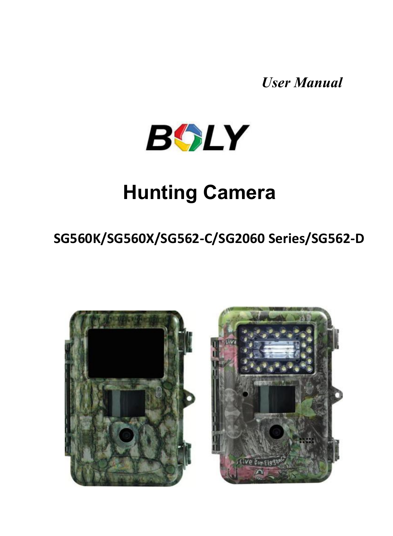*User Manual*



## **Hunting Camera**

## **SG560K/SG560X/SG562-C/SG2060 Series/SG562-D**



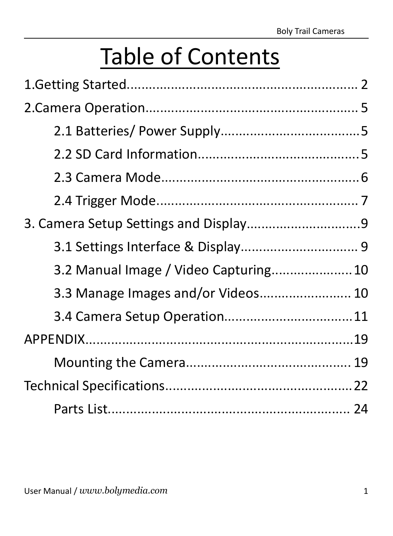# Table of Contents

| 3.3 Manage Images and/or Videos 10 |  |
|------------------------------------|--|
|                                    |  |
|                                    |  |
|                                    |  |
|                                    |  |
|                                    |  |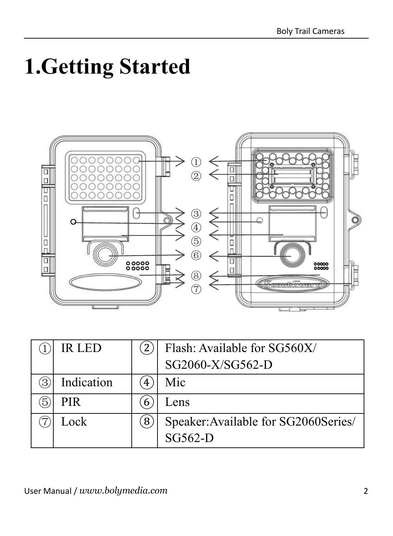# <span id="page-2-0"></span>**1.Getting Started**



|   | IR LED     |   | Flash: Available for SG560X/         |  |
|---|------------|---|--------------------------------------|--|
|   |            |   | SG2060-X/SG562-D                     |  |
| 3 | Indication | 4 | Mic                                  |  |
| Б | <b>PIR</b> | b | Lens                                 |  |
|   | Lock       | 8 | Speaker: Available for SG2060Series/ |  |
|   |            |   | $SG562-D$                            |  |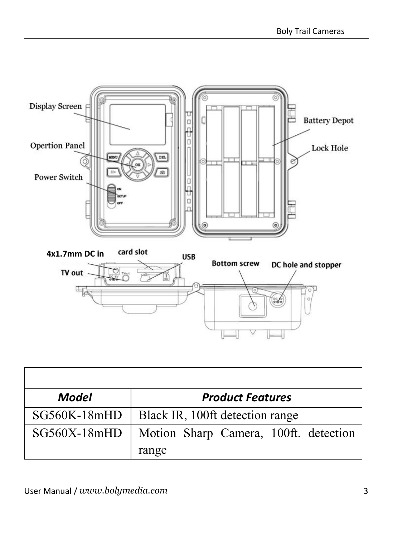

| Model          | <b>Product Features</b>               |
|----------------|---------------------------------------|
| $SG560K-18mHD$ | Black IR, 100ft detection range       |
| $SG560X-18mHD$ | Motion Sharp Camera, 100ft. detection |
|                | range                                 |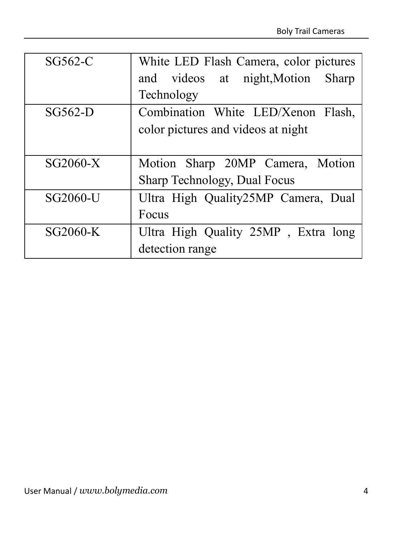| SG562-C    | White LED Flash Camera, color pictures |  |
|------------|----------------------------------------|--|
|            | and videos at night, Motion<br>Sharp   |  |
|            | Technology                             |  |
| $SG562-D$  | Combination White LED/Xenon Flash,     |  |
|            | color pictures and videos at night     |  |
|            |                                        |  |
| $SG2060-X$ | Motion Sharp 20MP Camera, Motion       |  |
|            | Sharp Technology, Dual Focus           |  |
| SG2060-U   | Ultra High Quality25MP Camera, Dual    |  |
|            | Focus                                  |  |
| SG2060-K   | Ultra High Quality 25MP, Extra long    |  |
|            | detection range                        |  |
|            |                                        |  |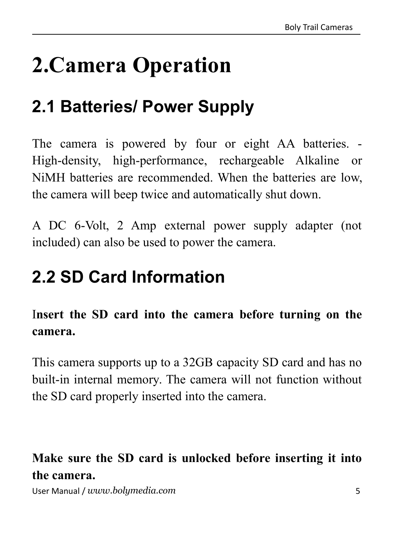# <span id="page-5-0"></span>**2.Camera Operation**

## <span id="page-5-1"></span>**2.1 Batteries/ Power Supply**

The camera is powered by four or eight AA batteries. - High-density, high-performance, rechargeable Alkaline or NiMH batteries are recommended. When the batteries are low, the camera will beep twice and automatically shut down.

A DC 6-Volt, 2 Amp external power supply adapter (not included) can also be used to power the camera.

## <span id="page-5-2"></span>**2.2 SD Card Information**

## I**nsert the SD card into the camera before turning on the camera.**

This camera supports up to a 32GB capacity SD card and has no built-in internal memory. The camera will not function without the SD card properly inserted into the camera.

## **Make sure the SD card is unlocked before inserting it into the camera.**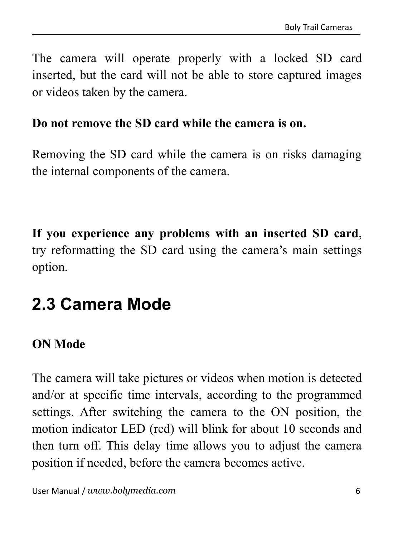The camera will operate properly with a locked SD card inserted, but the card will not be able to store captured images or videos taken by the camera.

#### **Do not remove the SD card while the camera is on.**

Removing the SD card while the camera is on risks damaging the internal components of the camera.

**If you experience any problems with an inserted SD card**, try reformatting the SD card using the camera's main settings option.

## <span id="page-6-0"></span>**2.3 Camera Mode**

#### **ON Mode**

The camera will take pictures or videos when motion is detected and/or at specific time intervals, according to the programmed settings. After switching the camera to the ON position, the motion indicator LED (red) will blink for about 10 seconds and then turn off. This delay time allows you to adjust the camera position if needed, before the camera becomes active.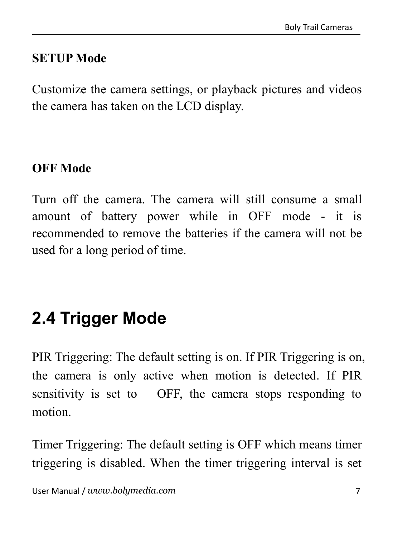#### **SETUP Mode**

Customize the camera settings, or playback pictures and videos the camera has taken on the LCD display.

#### **OFF Mode**

Turn off the camera. The camera will still consume a small amount of battery power while in OFF mode - it is recommended to remove the batteries if the camera will not be used for a long period of time.

## <span id="page-7-0"></span>**2.4 Trigger Mode**

PIR Triggering: The default setting is on. If PIR Triggering is on, the camera is only active when motion is detected. If PIR sensitivity is set to OFF, the camera stops responding to motion.

Timer Triggering: The default setting is OFF which means timer triggering is disabled. When the timer triggering interval is set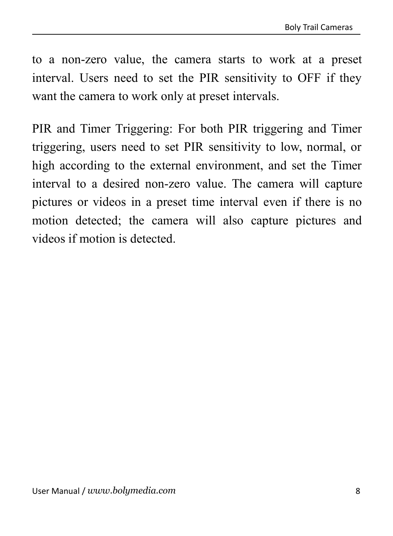to a non-zero value, the camera starts to work at a preset interval. Users need to set the PIR sensitivity to OFF if they want the camera to work only at preset intervals.

PIR and Timer Triggering: For both PIR triggering and Timer triggering, users need to set PIR sensitivity to low, normal, or high according to the external environment, and set the Timer interval to a desired non-zero value. The camera will capture pictures or videos in a preset time interval even if there is no motion detected; the camera will also capture pictures and videos if motion is detected.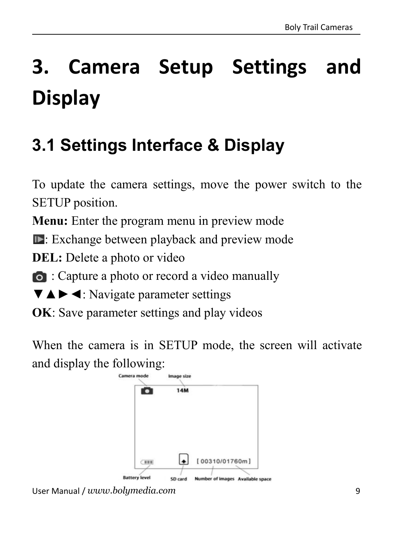# <span id="page-9-0"></span>**3. Camera Setup Settings and Display**

## <span id="page-9-1"></span>**3.1 Settings Interface & Display**

To update the camera settings, move the power switch to the SETUP position.

**Menu:** Enter the program menu in preview mode

Exchange between playback and preview mode

**DEL:** Delete a photo or video

: Capture a photo or record a video manually

▼▲►◄: Navigate parameter settings

**OK**: Save parameter settings and play videos

When the camera is in SETUP mode, the screen will activate and display the following:



User Manual / *www.bolymedia.com* 9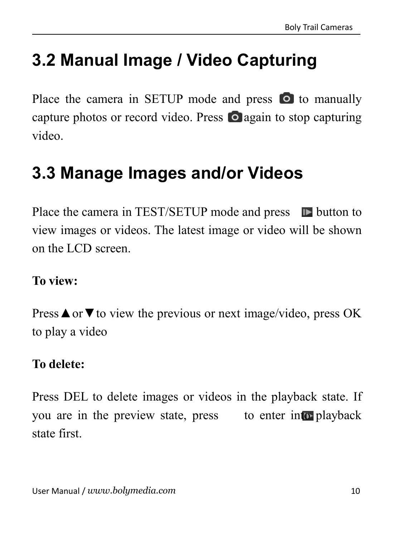## <span id="page-10-0"></span>**3.2 Manual Image / Video Capturing**

Place the camera in SETUP mode and press  $\bullet$  to manually capture photos or record video. Press o again to stop capturing video.

## <span id="page-10-1"></span>**3.3 Manage Images and/or Videos**

Place the camera in TEST/SETUP mode and press  $\Box$  button to view images or videos. The latest image or video will be shown on the LCD screen.

#### **To view:**

Press **A** or  $\blacktriangledown$  to view the previous or next image/video, press OK to play a video

#### **To delete:**

Press DEL to delete images or videos in the playback state. If you are in the preview state, press to enter into playback state first.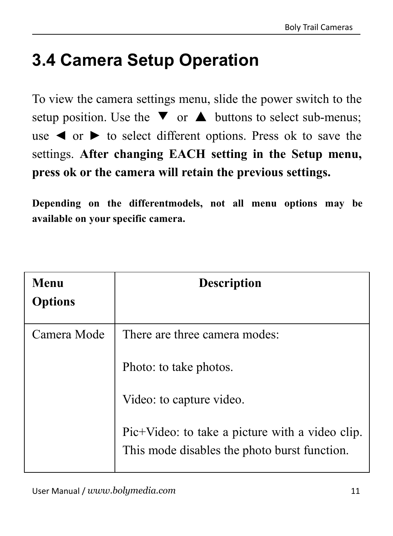## <span id="page-11-0"></span>**3.4 Camera Setup Operation**

To view the camera settings menu, slide the power switch to the setup position. Use the  $\blacktriangledown$  or  $\blacktriangle$  buttons to select sub-menus; use  $\triangleleft$  or  $\triangleright$  to select different options. Press ok to save the settings. **After changing EACH setting in theSetup menu, press ok or the camera will retain the previous settings.**

**Depending on thedifferentmodels, not all menu options may be available on your specific camera.**

| Menu<br><b>Options</b> | <b>Description</b>                                                                              |
|------------------------|-------------------------------------------------------------------------------------------------|
| Camera Mode            | There are three camera modes:                                                                   |
|                        | Photo: to take photos.                                                                          |
|                        | Video: to capture video.                                                                        |
|                        | Pic+Video: to take a picture with a video clip.<br>This mode disables the photo burst function. |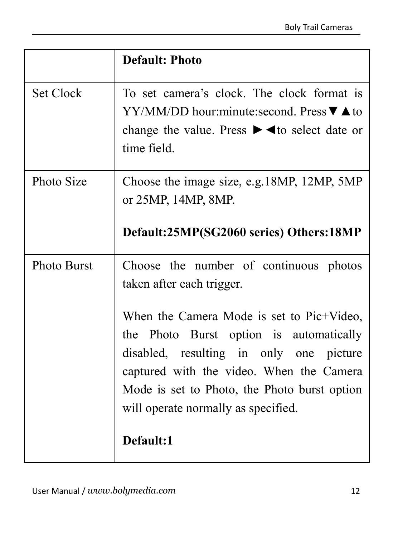|             | <b>Default: Photo</b>                                                                                                                                                                                                                                                                                                                                     |
|-------------|-----------------------------------------------------------------------------------------------------------------------------------------------------------------------------------------------------------------------------------------------------------------------------------------------------------------------------------------------------------|
| Set Clock   | To set camera's clock. The clock format is<br>$YY/MM/DD$ hour:minute:second. Press $\nabla \triangle$ to<br>change the value. Press $\blacktriangleright \blacktriangleleft$ to select date or<br>time field.                                                                                                                                             |
| Photo Size  | Choose the image size, e.g. 18MP, 12MP, 5MP<br>or 25MP, 14MP, 8MP.<br>Default:25MP(SG2060 series) Others:18MP                                                                                                                                                                                                                                             |
| Photo Burst | Choose the number of continuous photos<br>taken after each trigger.<br>When the Camera Mode is set to Pic+Video,<br>the Photo Burst option is automatically<br>disabled, resulting in only one<br>picture<br>captured with the video. When the Camera<br>Mode is set to Photo, the Photo burst option<br>will operate normally as specified.<br>Default:1 |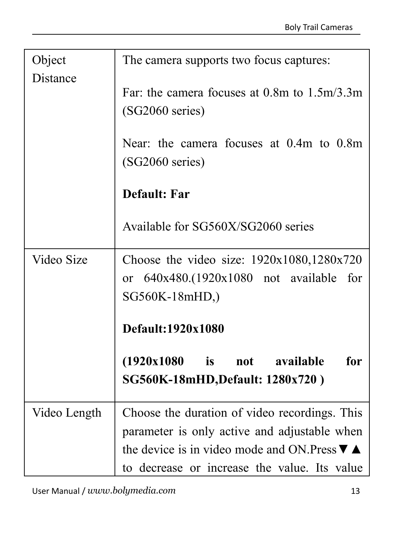| Object       | The camera supports two focus captures:                                                                                                                                                                              |
|--------------|----------------------------------------------------------------------------------------------------------------------------------------------------------------------------------------------------------------------|
| Distance     | Far: the camera focuses at $0.8$ m to $1.5$ m/3.3m<br>(SG2060 series)<br>Near: the camera focuses at 0.4m to 0.8m<br>(SG2060 series)                                                                                 |
|              | Default: Far<br>Available for SG560X/SG2060 series                                                                                                                                                                   |
| Video Size   | Choose the video size: 1920x1080,1280x720<br>or $640x480.(1920x1080$ not available for<br>SG560K-18mHD,)<br>Default:1920x1080<br>(1920x1080)<br>is<br>available<br>for<br>not<br>SG560K-18mHD, Default: 1280x720)    |
| Video Length | Choose the duration of video recordings. This<br>parameter is only active and adjustable when<br>the device is in video mode and ON. Press $\nabla$ $\blacktriangle$<br>to decrease or increase the value. Its value |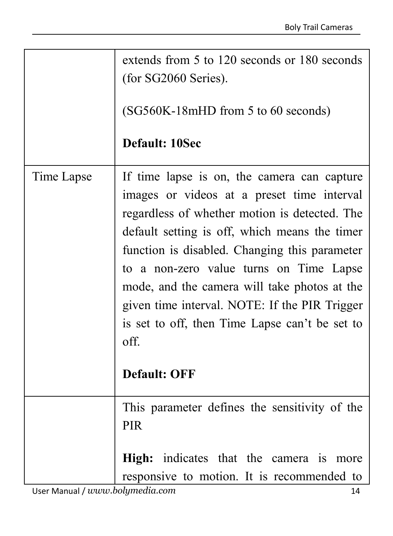|            | extends from 5 to 120 seconds or 180 seconds<br>(for SG2060 Series).                                                                                                                                                                                                                                                                                                                                                                                                      |  |
|------------|---------------------------------------------------------------------------------------------------------------------------------------------------------------------------------------------------------------------------------------------------------------------------------------------------------------------------------------------------------------------------------------------------------------------------------------------------------------------------|--|
|            | (SG560K-18mHD from 5 to 60 seconds)                                                                                                                                                                                                                                                                                                                                                                                                                                       |  |
|            | Default: 10Sec                                                                                                                                                                                                                                                                                                                                                                                                                                                            |  |
| Time Lapse | If time lapse is on, the camera can capture<br>images or videos at a preset time interval<br>regardless of whether motion is detected. The<br>default setting is off, which means the timer<br>function is disabled. Changing this parameter<br>to a non-zero value turns on Time Lapse<br>mode, and the camera will take photos at the<br>given time interval. NOTE: If the PIR Trigger<br>is set to off, then Time Lapse can't be set to<br>off.<br><b>Default: OFF</b> |  |
|            | This parameter defines the sensitivity of the<br><b>PIR</b><br>High: indicates that the camera is more<br>responsive to motion. It is recommended to                                                                                                                                                                                                                                                                                                                      |  |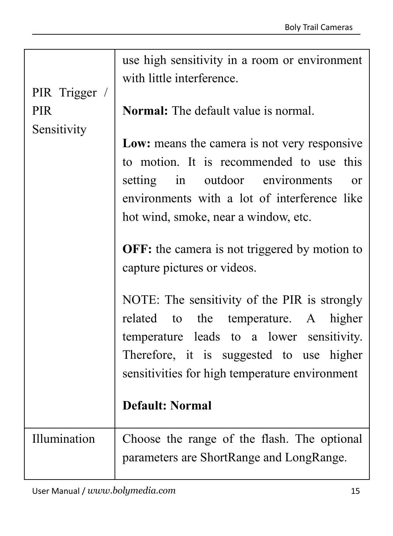| PIR Trigger / | use high sensitivity in a room or environment<br>with little interference.                                                                                                                                                                                                                                                                                                                                                                                                                                                                                                                         |  |
|---------------|----------------------------------------------------------------------------------------------------------------------------------------------------------------------------------------------------------------------------------------------------------------------------------------------------------------------------------------------------------------------------------------------------------------------------------------------------------------------------------------------------------------------------------------------------------------------------------------------------|--|
| <b>PIR</b>    | Normal: The default value is normal.                                                                                                                                                                                                                                                                                                                                                                                                                                                                                                                                                               |  |
| Sensitivity   | Low: means the camera is not very responsive<br>to motion. It is recommended to use this<br>outdoor environments<br>setting<br>in<br>$\alpha$<br>environments with a lot of interference like<br>hot wind, smoke, near a window, etc.<br><b>OFF:</b> the camera is not triggered by motion to<br>capture pictures or videos.<br>NOTE: The sensitivity of the PIR is strongly<br>related<br>the temperature. A<br>to<br>higher<br>temperature leads to a lower sensitivity.<br>Therefore, it is suggested to use higher<br>sensitivities for high temperature environment<br><b>Default: Normal</b> |  |
| Illumination  | Choose the range of the flash. The optional<br>parameters are ShortRange and LongRange.                                                                                                                                                                                                                                                                                                                                                                                                                                                                                                            |  |
|               |                                                                                                                                                                                                                                                                                                                                                                                                                                                                                                                                                                                                    |  |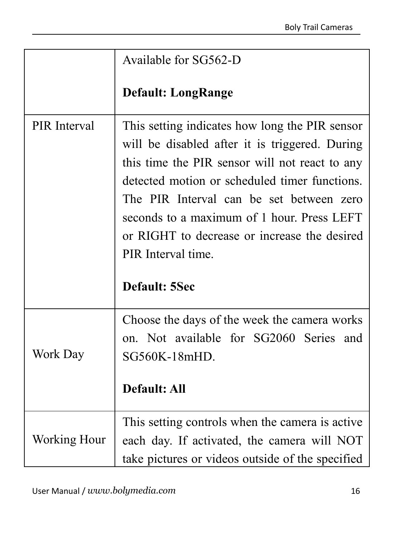|              | Available for SG562-D                                                                                                                                                                                                                                                                                                                                                                |
|--------------|--------------------------------------------------------------------------------------------------------------------------------------------------------------------------------------------------------------------------------------------------------------------------------------------------------------------------------------------------------------------------------------|
|              | <b>Default: LongRange</b>                                                                                                                                                                                                                                                                                                                                                            |
| PIR Interval | This setting indicates how long the PIR sensor<br>will be disabled after it is triggered. During<br>this time the PIR sensor will not react to any<br>detected motion or scheduled timer functions.<br>The PIR Interval can be set between zero<br>seconds to a maximum of 1 hour. Press LEFT<br>or RIGHT to decrease or increase the desired<br>PIR Interval time.<br>Default: 5Sec |
| Work Day     | Choose the days of the week the camera works<br>on. Not available for SG2060 Series and<br>SG560K-18mHD.<br><b>Default: All</b>                                                                                                                                                                                                                                                      |
| Working Hour | This setting controls when the camera is active.<br>each day. If activated, the camera will NOT<br>take pictures or videos outside of the specified                                                                                                                                                                                                                                  |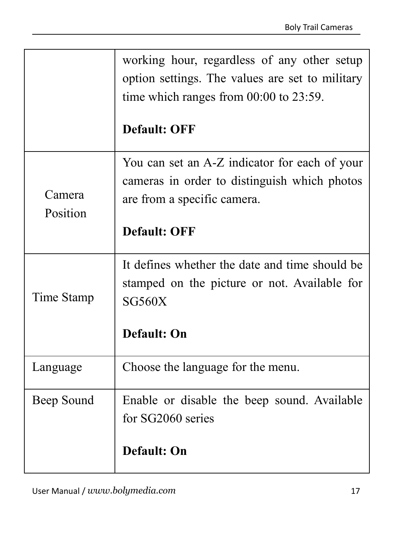|                    | working hour, regardless of any other setup<br>option settings. The values are set to military<br>time which ranges from $00:00$ to $23:59$ .<br><b>Default: OFF</b> |  |
|--------------------|----------------------------------------------------------------------------------------------------------------------------------------------------------------------|--|
| Camera<br>Position | You can set an A-Z indicator for each of your<br>cameras in order to distinguish which photos<br>are from a specific camera.<br><b>Default: OFF</b>                  |  |
| Time Stamp         | It defines whether the date and time should be<br>stamped on the picture or not. Available for<br><b>SG560X</b><br>Default: On                                       |  |
| Language           | Choose the language for the menu.                                                                                                                                    |  |
| Beep Sound         | Enable or disable the beep sound. Available<br>for SG2060 series<br>Default: On                                                                                      |  |
|                    |                                                                                                                                                                      |  |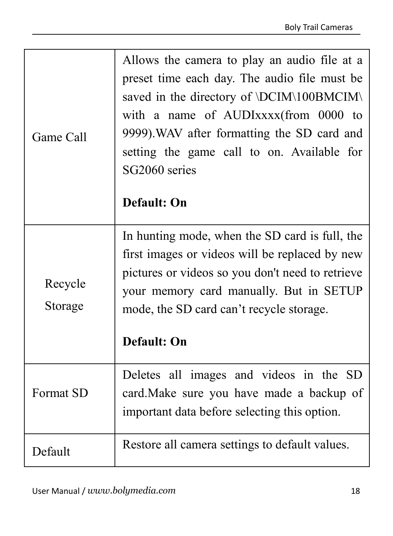| Game Call          | Allows the camera to play an audio file at a<br>preset time each day. The audio file must be<br>saved in the directory of \DCIM\100BMCIM\<br>with a name of AUDIxxxx(from 0000 to<br>9999). WAV after formatting the SD card and<br>setting the game call to on. Available for<br>SG2060 series<br>Default: On |
|--------------------|----------------------------------------------------------------------------------------------------------------------------------------------------------------------------------------------------------------------------------------------------------------------------------------------------------------|
| Recycle<br>Storage | In hunting mode, when the SD card is full, the<br>first images or videos will be replaced by new<br>pictures or videos so you don't need to retrieve<br>your memory card manually. But in SETUP<br>mode, the SD card can't recycle storage.<br>Default: On                                                     |
| Format SD          | Deletes all images and videos in the SD<br>card. Make sure you have made a backup of<br>important data before selecting this option.                                                                                                                                                                           |
| Default            | Restore all camera settings to default values.                                                                                                                                                                                                                                                                 |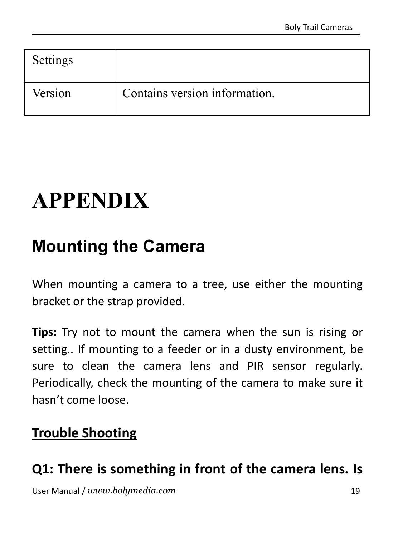| Settings |                               |
|----------|-------------------------------|
| Version  | Contains version information. |

# <span id="page-19-0"></span>**APPENDIX**

## <span id="page-19-1"></span>**Mounting the Camera**

When mounting a camera to a tree, use either the mounting bracket or the strap provided.

**Tips:** Try not to mount the camera when the sun is rising or setting.. If mounting to a feeder or in a dusty environment, be sure to clean the camera lens and PIR sensor regularly. Periodically, check the mounting of the camera to make sure it hasn't come loose.

## **Trouble Shooting**

## **Q1: There is something in front of the camera lens. Is**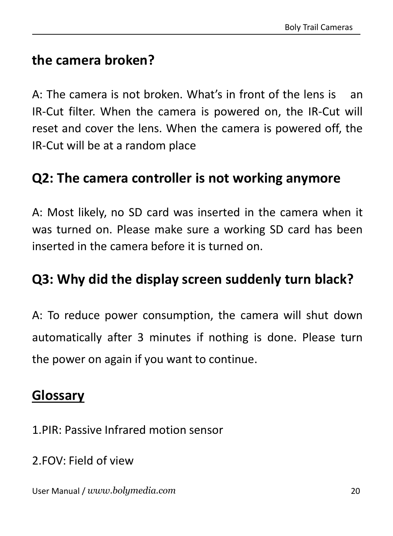## **the camera broken?**

A: The camera is not broken. What's in front of the lens is an IR-Cut filter. When the camera is powered on, the IR-Cut will reset and cover the lens. When the camera is powered off, the IR-Cut will be at a random place

#### **Q2: The camera controller is not working anymore**

A: Most likely, no SD card was inserted in the camera when it was turned on. Please make sure a working SD card has been inserted in the camera before it is turned on.

#### **Q3: Why did the display screen suddenly turn black?**

A: To reduce power consumption, the camera will shut down automatically after 3 minutes if nothing is done. Please turn the power on again if you want to continue.

#### **Glossary**

- 1.PIR: Passive Infrared motion sensor
- 2.FOV: Field of view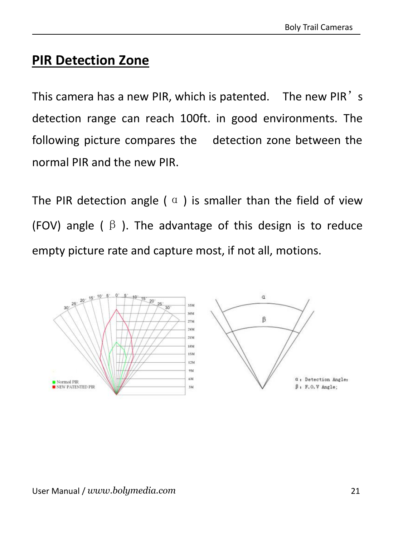## **PIR Detection Zone**

This camera has a new PIR, which is patented. The new PIR's detection range can reach 100ft. in good environments. The following picture compares the detection zone between the normal PIR and the new PIR.

The PIR detection angle ( $\alpha$ ) is smaller than the field of view (FOV) angle ( $\beta$ ). The advantage of this design is to reduce empty picture rate and capture most, if not all, motions.

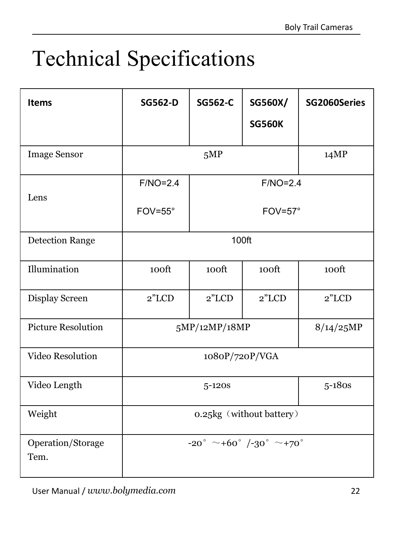# <span id="page-22-0"></span>Technical Specifications

| Items                     | <b>SG562-D</b>                  | SG562-C          | SG560X/<br><b>SG560K</b> | SG2060Series |  |
|---------------------------|---------------------------------|------------------|--------------------------|--------------|--|
| <b>Image Sensor</b>       | 5MP                             |                  |                          | 14MP         |  |
| Lens                      | $F/NO=2.4$                      | $F/NO=2.4$       |                          |              |  |
|                           | $FOV = 55^\circ$                | $FOV = 57^\circ$ |                          |              |  |
| <b>Detection Range</b>    | 100ft                           |                  |                          |              |  |
| Illumination              | 100ft                           | 100ft            | 100ft                    | 100ft        |  |
| Display Screen            | 2"LCD                           | $2$ "LCD         | 2"LCD                    | 2"LCD        |  |
| <b>Picture Resolution</b> | 5MP/12MP/18MP                   |                  |                          | 8/14/25MP    |  |
| Video Resolution          | 1080P/720P/VGA                  |                  |                          |              |  |
| Video Length              | $5 - 120s$                      |                  |                          | $5-180s$     |  |
| Weight                    | 0.25kg (without battery)        |                  |                          |              |  |
| Operation/Storage<br>Tem. | $-20^{\circ}$ ~+60° /-30° ~+70° |                  |                          |              |  |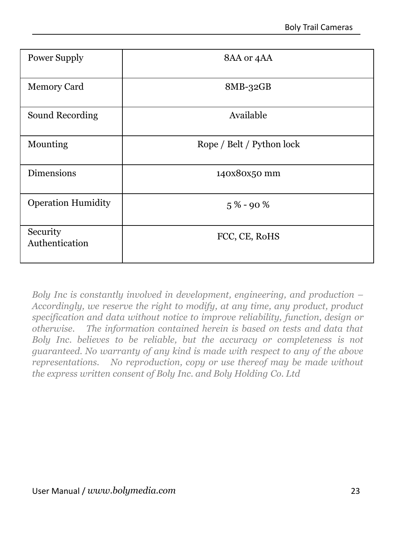| Power Supply               | 8AA or 4AA                |
|----------------------------|---------------------------|
| Memory Card                | $8MB-32GB$                |
| Sound Recording            | Available                 |
| Mounting                   | Rope / Belt / Python lock |
| <b>Dimensions</b>          | 140x80x50 mm              |
| <b>Operation Humidity</b>  | $5\% - 90\%$              |
| Security<br>Authentication | FCC, CE, RoHS             |
|                            |                           |

*Boly Inc is constantly involved in development, engineering, and production – Accordingly, we reserve the right to modify, at any time, any product, product specification and data without notice to improve reliability, function, design or otherwise. The information contained herein is based on tests and data that Boly Inc. believes to be reliable, but the accuracy or completeness is not guaranteed. No warranty of any kind is made with respect to any of the above representations. No reproduction, copy or use thereof may be made without the express written consent of Boly Inc. and Boly Holding Co. Ltd*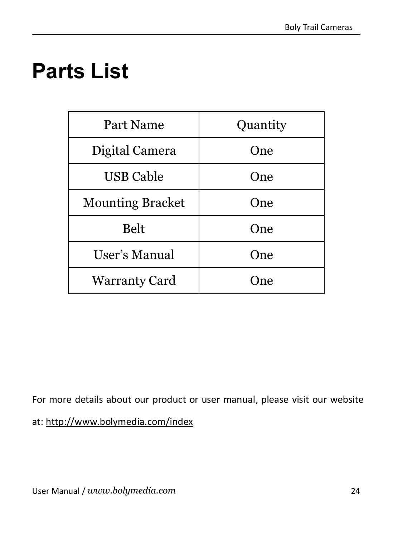# <span id="page-24-0"></span>**Parts List**

| Part Name               | Quantity |  |
|-------------------------|----------|--|
| Digital Camera          | One      |  |
| <b>USB Cable</b>        | One      |  |
| <b>Mounting Bracket</b> | One      |  |
| Belt                    | One      |  |
| User's Manual           | One      |  |
| Warranty Card           | One      |  |
|                         |          |  |

For more details about our product or user manual, please visit our website at: http://www.bolymedia.com/index